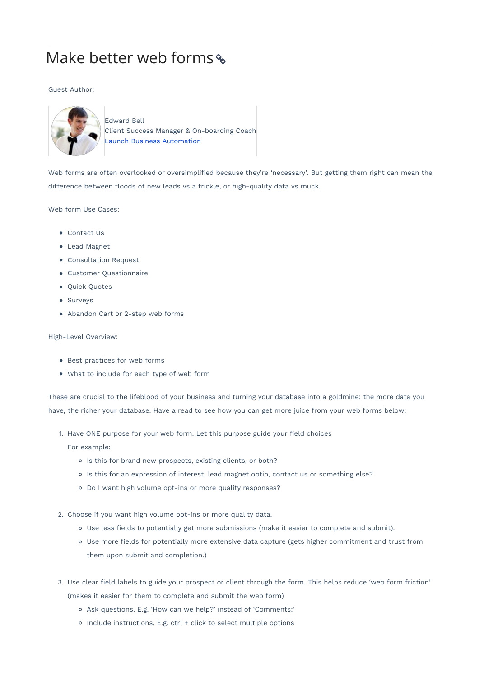## Make better web forms

## Guest Author:



Edward Bell Client Success Manager & On-boarding Coach Launch Business Automation

Web forms are often overlooked or oversimplified because they're 'necessary'. But getting them right can mean the difference between floods of new leads vs a trickle, or high-quality data vs muck.

## Web form Use Cases:

- Contact Us
- Lead Magnet
- Consultation Request
- Customer Questionnaire
- Quick Quotes
- Surveys
- Abandon Cart or 2-step web forms

## High-Level Overview:

- Best practices for web forms
- What to include for each type of web form

These are crucial to the lifeblood of your business and turning your database into a goldmine: the more data you have, the richer your database. Have a read to see how you can get more juice from your web forms below:

1. Have ONE purpose for your web form. Let this purpose guide your field choices

For example:

- o Is this for brand new prospects, existing clients, or both?
- o Is this for an expression of interest, lead magnet optin, contact us or something else?
- Do I want high volume opt-ins or more quality responses?
- 2. Choose if you want high volume opt-ins or more quality data.
	- Use less fields to potentially get more submissions (make it easier to complete and submit).
	- Use more fields for potentially more extensive data capture (gets higher commitment and trust from them upon submit and completion.)
- 3. Use clear field labels to guide your prospect or client through the form. This helps reduce 'web form friction' (makes it easier for them to complete and submit the web form)
	- Ask questions. E.g. 'How can we help?' instead of 'Comments:'
	- o Include instructions. E.g. ctrl + click to select multiple options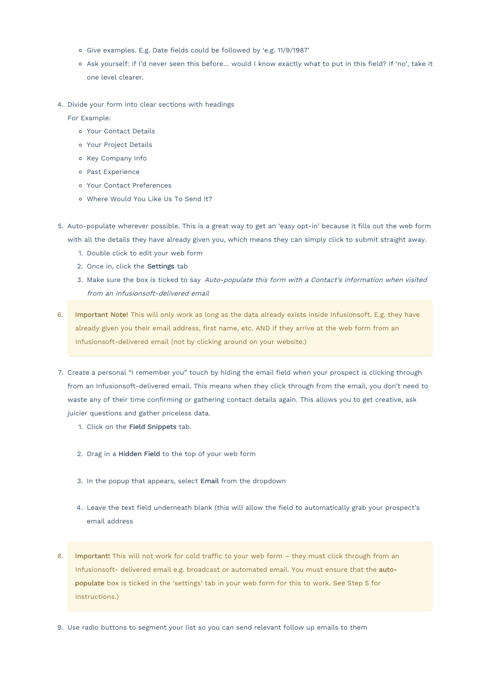- Give examples. E.g. Date fields could be followed by 'e.g. 11/9/1987'
- o Ask yourself: if I'd never seen this before... would I know exactly what to put in this field? If 'no', take it one level clearer.
- 4. Divide your form into clear sections with headings

For Example:

- Your Contact Details
- Your Project Details
- o Key Company Info
- o Past Experience
- Your Contact Preferences
- Where Would You Like Us To Send It?
- 5. Auto-populate wherever possible. This is a great way to get an 'easy opt-in' because it fills out the web form with all the details they have already given you, which means they can simply click to submit straight away.
	- 1. Double click to edit your web form
	- 2. Once in, click the Settings tab
	- 3. Make sure the box is ticked to say Auto-populate this form with <sup>a</sup> Contact's information when visited from an Infusionsoft-delivered email
- 6. Important Note! This will only work as long as the data already exists inside Infusionsoft. E.g. they have already given you their email address, first name, etc. AND if they arrive at the web form from an Infusionsoft-delivered email (not by clicking around on your website.)
- 7. Create a personal "I remember you" touch by hiding the email field when your prospect is clicking through from an Infusionsoft-delivered email. This means when they click through from the email, you don't need to waste any of their time confirming or gathering contact details again. This allows you to get creative, ask juicier questions and gather priceless data.
	- 1. Click on the Field Snippets tab.
	- 2. Drag in a Hidden Field to the top of your web form
	- 3. In the popup that appears, select Email from the dropdown
	- 4. Leave the text field underneath blank (this will allow the field to automatically grab your prospect's email address
- 8. Important! This will not work for cold traffic to your web form they must click through from an Infusionsoft- delivered email e.g. broadcast or automated email. You must ensure that the autopopulate box is ticked in the 'settings' tab in your web form for this to work. See Step 5 for instructions.)
- 9. Use radio buttons to segment your list so you can send relevant follow up emails to them